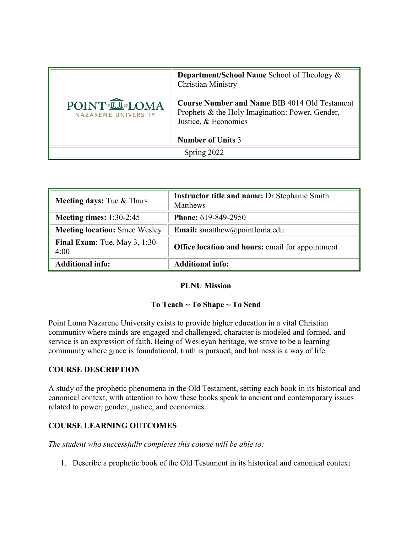|                                                         | <b>Department/School Name School of Theology &amp;</b><br><b>Christian Ministry</b>                                             |  |
|---------------------------------------------------------|---------------------------------------------------------------------------------------------------------------------------------|--|
| POINT <sup>®</sup> I LOMA<br><b>NAZARENE UNIVERSITY</b> | <b>Course Number and Name BIB 4014 Old Testament</b><br>Prophets & the Holy Imagination: Power, Gender,<br>Justice, & Economics |  |
|                                                         | <b>Number of Units 3</b>                                                                                                        |  |
|                                                         | Spring 2022                                                                                                                     |  |

| <b>Meeting days:</b> Tue & Thurs      | Instructor title and name: Dr Stephanie Smith<br><b>Matthews</b> |  |
|---------------------------------------|------------------------------------------------------------------|--|
| Meeting times: $1:30-2:45$            | <b>Phone: 619-849-2950</b>                                       |  |
| <b>Meeting location:</b> Smee Wesley  | <b>Email:</b> smatthew@pointloma.edu                             |  |
| Final Exam: Tue, May 3, 1:30-<br>4:00 | Office location and hours: email for appointment                 |  |
| <b>Additional info:</b>               | <b>Additional info:</b>                                          |  |

#### **PLNU Mission**

### **To Teach ~ To Shape ~ To Send**

Point Loma Nazarene University exists to provide higher education in a vital Christian community where minds are engaged and challenged, character is modeled and formed, and service is an expression of faith. Being of Wesleyan heritage, we strive to be a learning community where grace is foundational, truth is pursued, and holiness is a way of life.

### **COURSE DESCRIPTION**

A study of the prophetic phenomena in the Old Testament, setting each book in its historical and canonical context, with attention to how these books speak to ancient and contemporary issues related to power, gender, justice, and economics.

### **COURSE LEARNING OUTCOMES**

*The student who successfully completes this course will be able to:*

1. Describe a prophetic book of the Old Testament in its historical and canonical context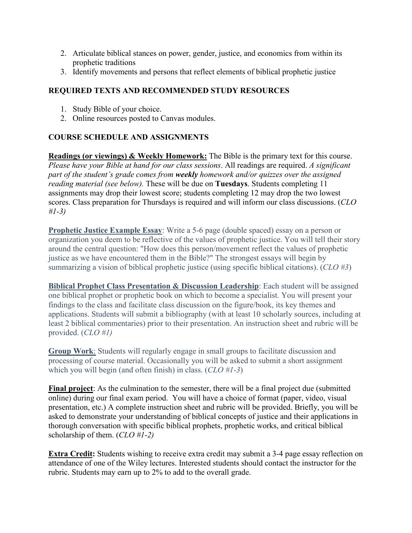- 2. Articulate biblical stances on power, gender, justice, and economics from within its prophetic traditions
- 3. Identify movements and persons that reflect elements of biblical prophetic justice

# **REQUIRED TEXTS AND RECOMMENDED STUDY RESOURCES**

- 1. Study Bible of your choice.
- 2. Online resources posted to Canvas modules.

# **COURSE SCHEDULE AND ASSIGNMENTS**

**Readings (or viewings) & Weekly Homework:** The Bible is the primary text for this course. *Please have your Bible at hand for our class sessions*. All readings are required. *A significant part of the student's grade comes from weekly homework and/or quizzes over the assigned reading material (see below).* These will be due on **Tuesdays**. Students completing 11 assignments may drop their lowest score; students completing 12 may drop the two lowest scores. Class preparation for Thursdays is required and will inform our class discussions. (*CLO #1-3)*

**Prophetic Justice Example Essay**: Write a 5-6 page (double spaced) essay on a person or organization you deem to be reflective of the values of prophetic justice. You will tell their story around the central question: "How does this person/movement reflect the values of prophetic justice as we have encountered them in the Bible?" The strongest essays will begin by summarizing a vision of biblical prophetic justice (using specific biblical citations). (*CLO #3*)

**Biblical Prophet Class Presentation & Discussion Leadership**: Each student will be assigned one biblical prophet or prophetic book on which to become a specialist. You will present your findings to the class and facilitate class discussion on the figure/book, its key themes and applications. Students will submit a bibliography (with at least 10 scholarly sources, including at least 2 biblical commentaries) prior to their presentation. An instruction sheet and rubric will be provided. (*CLO #1)*

**Group Work**: Students will regularly engage in small groups to facilitate discussion and processing of course material. Occasionally you will be asked to submit a short assignment which you will begin (and often finish) in class. (*CLO #1-3*)

**Final project**: As the culmination to the semester, there will be a final project due (submitted online) during our final exam period. You will have a choice of format (paper, video, visual presentation, etc.) A complete instruction sheet and rubric will be provided. Briefly, you will be asked to demonstrate your understanding of biblical concepts of justice and their applications in thorough conversation with specific biblical prophets, prophetic works, and critical biblical scholarship of them. (*CLO #1-2)*

**Extra Credit:** Students wishing to receive extra credit may submit a 3-4 page essay reflection on attendance of one of the Wiley lectures. Interested students should contact the instructor for the rubric. Students may earn up to 2% to add to the overall grade.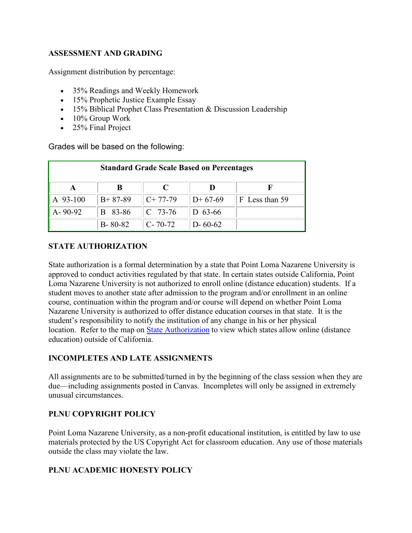### **ASSESSMENT AND GRADING**

Assignment distribution by percentage:

- 35% Readings and Weekly Homework
- 15% Prophetic Justice Example Essay
- 15% Biblical Prophet Class Presentation & Discussion Leadership
- 10% Group Work
- 25% Final Project

Grades will be based on the following:

| <b>Standard Grade Scale Based on Percentages</b> |               |               |               |                |  |
|--------------------------------------------------|---------------|---------------|---------------|----------------|--|
|                                                  |               |               |               |                |  |
| A 93-100                                         | $B+87-89$     | $C+77-79$     | $D+67-69$     | F Less than 59 |  |
| $A - 90 - 92$                                    | B 83-86       | $C$ 73-76     | D $63-66$     |                |  |
|                                                  | $B - 80 - 82$ | $C - 70 - 72$ | $D - 60 - 62$ |                |  |

# **STATE AUTHORIZATION**

State authorization is a formal determination by a state that Point Loma Nazarene University is approved to conduct activities regulated by that state. In certain states outside California, Point Loma Nazarene University is not authorized to enroll online (distance education) students. If a student moves to another state after admission to the program and/or enrollment in an online course, continuation within the program and/or course will depend on whether Point Loma Nazarene University is authorized to offer distance education courses in that state. It is the student's responsibility to notify the institution of any change in his or her physical location. Refer to the map on [State Authorization](https://www.pointloma.edu/offices/office-institutional-effectiveness-research/disclosures) to view which states allow online (distance education) outside of California.

# **INCOMPLETES AND LATE ASSIGNMENTS**

All assignments are to be submitted/turned in by the beginning of the class session when they are due—including assignments posted in Canvas. Incompletes will only be assigned in extremely unusual circumstances.

### **PLNU COPYRIGHT POLICY**

Point Loma Nazarene University, as a non-profit educational institution, is entitled by law to use materials protected by the US Copyright Act for classroom education. Any use of those materials outside the class may violate the law.

### **PLNU ACADEMIC HONESTY POLICY**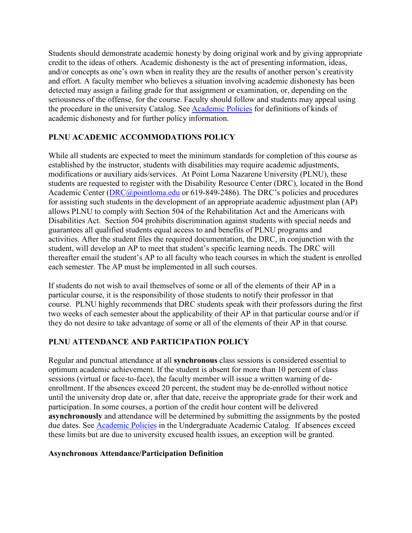Students should demonstrate academic honesty by doing original work and by giving appropriate credit to the ideas of others. Academic dishonesty is the act of presenting information, ideas, and/or concepts as one's own when in reality they are the results of another person's creativity and effort. A faculty member who believes a situation involving academic dishonesty has been detected may assign a failing grade for that assignment or examination, or, depending on the seriousness of the offense, for the course. Faculty should follow and students may appeal using the procedure in the university Catalog. See [Academic Policies](http://catalog.pointloma.edu/content.php?catoid=18&navoid=1278) for definitions of kinds of academic dishonesty and for further policy information.

# **PLNU ACADEMIC ACCOMMODATIONS POLICY**

While all students are expected to meet the minimum standards for completion of this course as established by the instructor, students with disabilities may require academic adjustments, modifications or auxiliary aids/services. At Point Loma Nazarene University (PLNU), these students are requested to register with the Disability Resource Center (DRC), located in the Bond Academic Center [\(DRC@pointloma.edu](mailto:DRC@pointloma.edu) or 619-849-2486). The DRC's policies and procedures for assisting such students in the development of an appropriate academic adjustment plan (AP) allows PLNU to comply with Section 504 of the Rehabilitation Act and the Americans with Disabilities Act. Section 504 prohibits discrimination against students with special needs and guarantees all qualified students equal access to and benefits of PLNU programs and activities. After the student files the required documentation, the DRC, in conjunction with the student, will develop an AP to meet that student's specific learning needs. The DRC will thereafter email the student's AP to all faculty who teach courses in which the student is enrolled each semester. The AP must be implemented in all such courses.

If students do not wish to avail themselves of some or all of the elements of their AP in a particular course, it is the responsibility of those students to notify their professor in that course. PLNU highly recommends that DRC students speak with their professors during the first two weeks of each semester about the applicability of their AP in that particular course and/or if they do not desire to take advantage of some or all of the elements of their AP in that course.

### **PLNU ATTENDANCE AND PARTICIPATION POLICY**

Regular and punctual attendance at all **synchronous** class sessions is considered essential to optimum academic achievement. If the student is absent for more than 10 percent of class sessions (virtual or face-to-face), the faculty member will issue a written warning of deenrollment. If the absences exceed 20 percent, the student may be de-enrolled without notice until the university drop date or, after that date, receive the appropriate grade for their work and participation. In some courses, a portion of the credit hour content will be delivered **asynchronously** and attendance will be determined by submitting the assignments by the posted due dates. See **Academic Policies** in the Undergraduate Academic Catalog. If absences exceed these limits but are due to university excused health issues, an exception will be granted.

### **Asynchronous Attendance/Participation Definition**